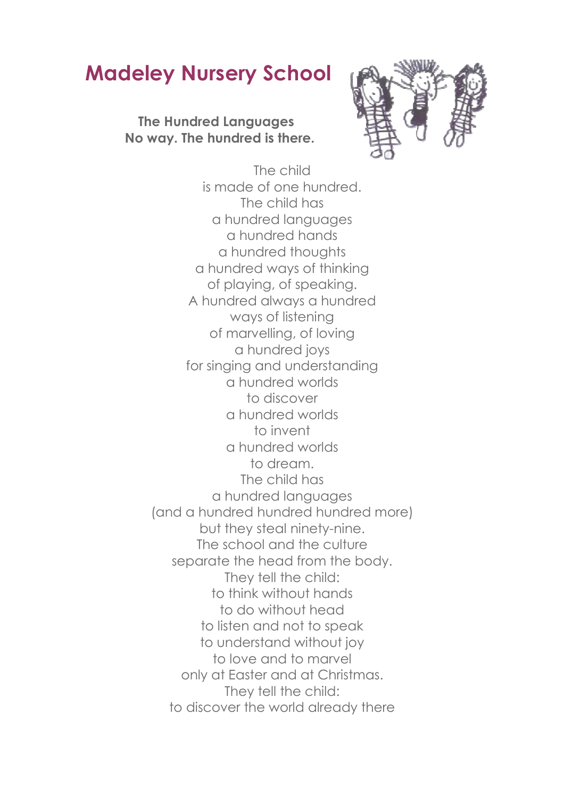## **Madeley Nursery School**

**The Hundred Languages No way. The hundred is there.** 



The child is made of one hundred. The child has a hundred languages a hundred hands a hundred thoughts a hundred ways of thinking of playing, of speaking. A hundred always a hundred ways of listening of marvelling, of loving a hundred joys for singing and understanding a hundred worlds to discover a hundred worlds to invent a hundred worlds to dream. The child has a hundred languages (and a hundred hundred hundred more) but they steal ninety-nine. The school and the culture separate the head from the body. They tell the child: to think without hands to do without head to listen and not to speak to understand without joy to love and to marvel only at Easter and at Christmas. They tell the child: to discover the world already there